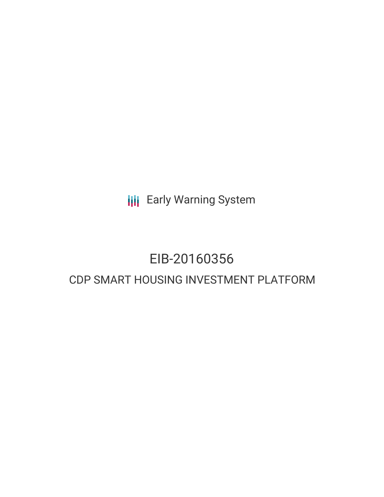**III** Early Warning System

# EIB-20160356 CDP SMART HOUSING INVESTMENT PLATFORM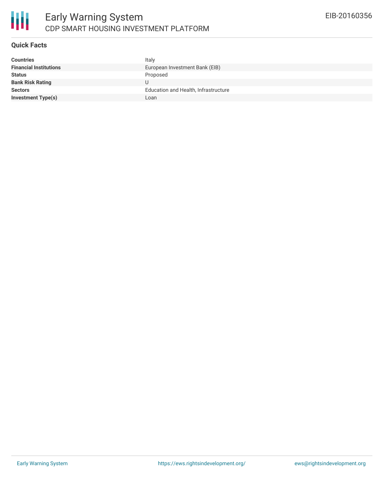

#### **Quick Facts**

| <b>Countries</b>              | Italy                                |
|-------------------------------|--------------------------------------|
| <b>Financial Institutions</b> | European Investment Bank (EIB)       |
| <b>Status</b>                 | Proposed                             |
| <b>Bank Risk Rating</b>       |                                      |
| <b>Sectors</b>                | Education and Health, Infrastructure |
| <b>Investment Type(s)</b>     | Loan                                 |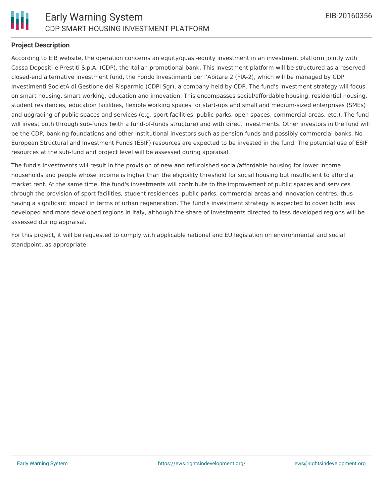

#### **Project Description**

According to EIB website, the operation concerns an equity/quasi-equity investment in an investment platform jointly with Cassa Depositi e Prestiti S.p.A. (CDP), the Italian promotional bank. This investment platform will be structured as a reserved closed-end alternative investment fund, the Fondo Investimenti per l'Abitare 2 (FIA-2), which will be managed by CDP Investimenti SocietA di Gestione del Risparmio (CDPI Sgr), a company held by CDP. The fund's investment strategy will focus on smart housing, smart working, education and innovation. This encompasses social/affordable housing, residential housing, student residences, education facilities, flexible working spaces for start-ups and small and medium-sized enterprises (SMEs) and upgrading of public spaces and services (e.g. sport facilities, public parks, open spaces, commercial areas, etc.). The fund will invest both through sub-funds (with a fund-of-funds structure) and with direct investments. Other investors in the fund will be the CDP, banking foundations and other institutional investors such as pension funds and possibly commercial banks. No European Structural and Investment Funds (ESIF) resources are expected to be invested in the fund. The potential use of ESIF resources at the sub-fund and project level will be assessed during appraisal.

The fund's investments will result in the provision of new and refurbished social/affordable housing for lower income households and people whose income is higher than the eligibility threshold for social housing but insufficient to afford a market rent. At the same time, the fund's investments will contribute to the improvement of public spaces and services through the provision of sport facilities, student residences, public parks, commercial areas and innovation centres, thus having a significant impact in terms of urban regeneration. The fund's investment strategy is expected to cover both less developed and more developed regions in Italy, although the share of investments directed to less developed regions will be assessed during appraisal.

For this project, it will be requested to comply with applicable national and EU legislation on environmental and social standpoint, as appropriate.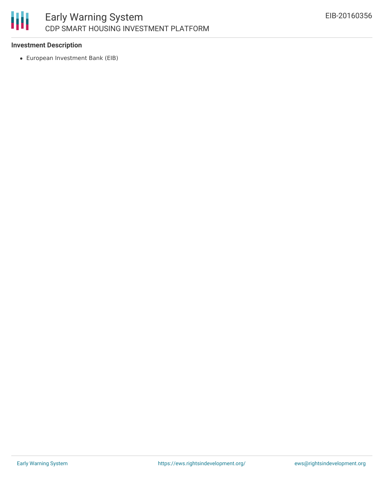

### **Investment Description**

European Investment Bank (EIB)